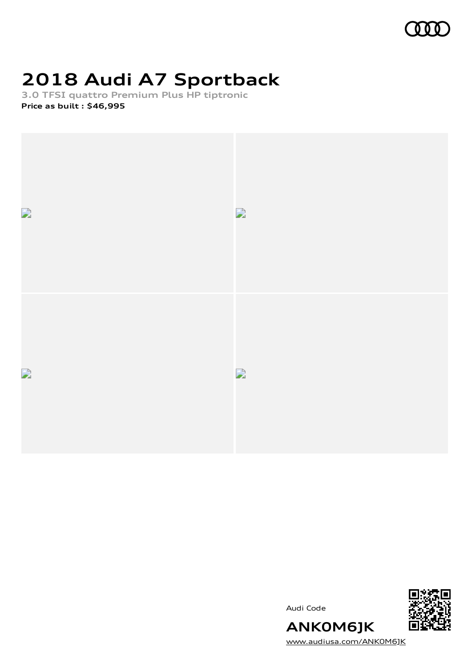

# **2018 Audi A7 Sportback**

**3.0 TFSI quattro Premium Plus HP tiptronic Price as built [:](#page-10-0) \$46,995**



Audi Code



[www.audiusa.com/ANK0M6JK](https://www.audiusa.com/ANK0M6JK)

**ANK0M6JK**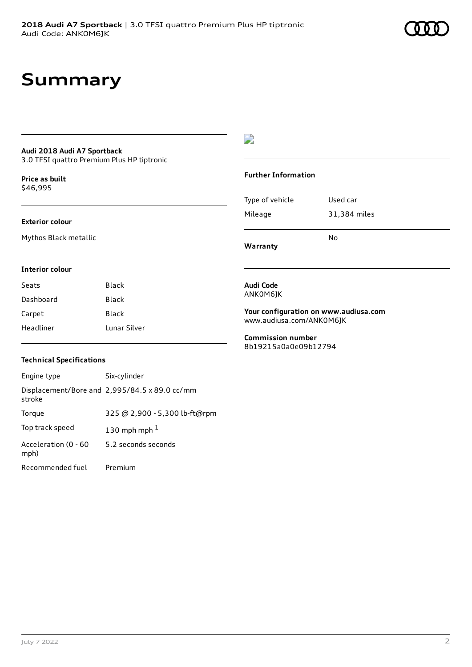### **Summary**

### **Audi 2018 Audi A7 Sportback**

3.0 TFSI quattro Premium Plus HP tiptronic

**Price as buil[t](#page-10-0)** \$46,995

#### **Exterior colour**

Mythos Black metallic

#### $\overline{\phantom{a}}$

#### **Further Information**

|                 | N٥           |
|-----------------|--------------|
| Mileage         | 31,384 miles |
| Type of vehicle | Used car     |

**Warranty**

#### **Interior colour**

| Seats     | Black        |
|-----------|--------------|
| Dashboard | Black        |
| Carpet    | Black        |
| Headliner | Lunar Silver |

### **Technical Specifications**

| Engine type                  | Six-cylinder                                  |
|------------------------------|-----------------------------------------------|
| stroke                       | Displacement/Bore and 2,995/84.5 x 89.0 cc/mm |
| Torque                       | 325 @ 2,900 - 5,300 lb-ft@rpm                 |
| Top track speed              | 130 mph mph $1$                               |
| Acceleration (0 - 60<br>mph) | 5.2 seconds seconds                           |
| Recommended fuel             | Premium                                       |

#### **Audi Code** ANK0M6JK

**Your configuration on www.audiusa.com** [www.audiusa.com/ANK0M6JK](https://www.audiusa.com/ANK0M6JK)

**Commission number** 8b19215a0a0e09b12794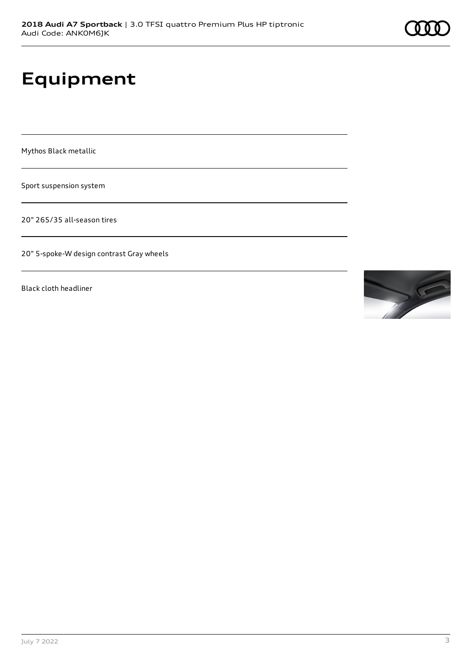### **Equipment**

Mythos Black metallic

Sport suspension system

20" 265/35 all-season tires

20" 5-spoke-W design contrast Gray wheels

Black cloth headliner

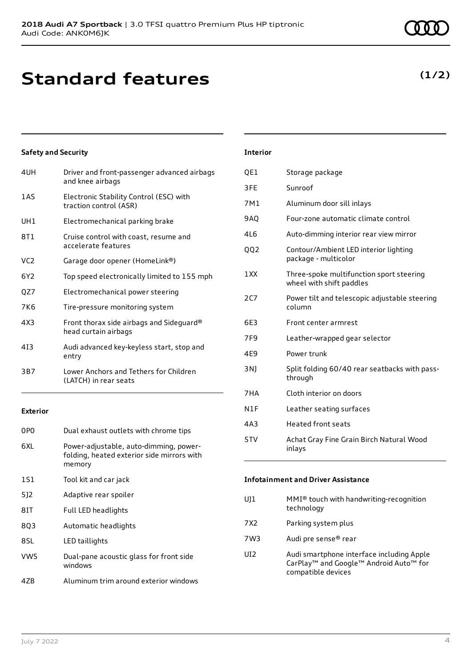### **Standard features**

#### **Safety and Security**

| 4UH | Driver and front-passenger advanced airbags<br>and knee airbags   |
|-----|-------------------------------------------------------------------|
| 1AS | Electronic Stability Control (ESC) with<br>traction control (ASR) |
| UH1 | Electromechanical parking brake                                   |
| 8T1 | Cruise control with coast, resume and<br>accelerate features      |
| VC2 | Garage door opener (HomeLink®)                                    |
| 6Y2 | Top speed electronically limited to 155 mph                       |
| QZ7 | Electromechanical power steering                                  |
| 7K6 | Tire-pressure monitoring system                                   |
| 4X3 | Front thorax side airbags and Sideguard®<br>head curtain airbags  |
| 413 | Audi advanced key-keyless start, stop and<br>entry                |
| 3B7 | Lower Anchors and Tethers for Children<br>(LATCH) in rear seats   |
|     |                                                                   |

#### **Exterior**

| 0PO             | Dual exhaust outlets with chrome tips                                                          |
|-----------------|------------------------------------------------------------------------------------------------|
| 6XI.            | Power-adjustable, auto-dimming, power-<br>folding, heated exterior side mirrors with<br>memory |
| 1S1             | Tool kit and car jack                                                                          |
| 512             | Adaptive rear spoiler                                                                          |
| 8IT             | <b>Full LED headlights</b>                                                                     |
| 803             | Automatic headlights                                                                           |
| 8SL             | LED taillights                                                                                 |
| VW <sub>5</sub> | Dual-pane acoustic glass for front side<br>windows                                             |
| 4ZB             | Aluminum trim around exterior windows                                                          |

#### **Interior**

| QE1             | Storage package                                                      |
|-----------------|----------------------------------------------------------------------|
| 3FE             | Sunroof                                                              |
| 7M1             | Aluminum door sill inlays                                            |
| 9AO             | Four-zone automatic climate control                                  |
| 4L6             | Auto-dimming interior rear view mirror                               |
| QQ2             | Contour/Ambient LED interior lighting<br>package - multicolor        |
| 1 XX            | Three-spoke multifunction sport steering<br>wheel with shift paddles |
| 2C7             | Power tilt and telescopic adjustable steering<br>column              |
| 6E3             | Front center armrest                                                 |
| 7F <sub>9</sub> | Leather-wrapped gear selector                                        |
| 4E9             | Power trunk                                                          |
| 3N)             | Split folding 60/40 rear seatbacks with pass-<br>through             |
| 7HA             | Cloth interior on doors                                              |
| N1F             | Leather seating surfaces                                             |
| 4A3             | <b>Heated front seats</b>                                            |
| 5TV             | Achat Gray Fine Grain Birch Natural Wood<br>inlays                   |

#### **Infotainment and Driver Assistance**

| U]1   | MMI <sup>®</sup> touch with handwriting-recognition<br>technology                                                                             |
|-------|-----------------------------------------------------------------------------------------------------------------------------------------------|
| 7 X 2 | Parking system plus                                                                                                                           |
| 7W3   | Audi pre sense® rear                                                                                                                          |
| UI2   | Audi smartphone interface including Apple<br>CarPlay <sup>™</sup> and Google <sup>™</sup> Android Auto <sup>™</sup> for<br>compatible devices |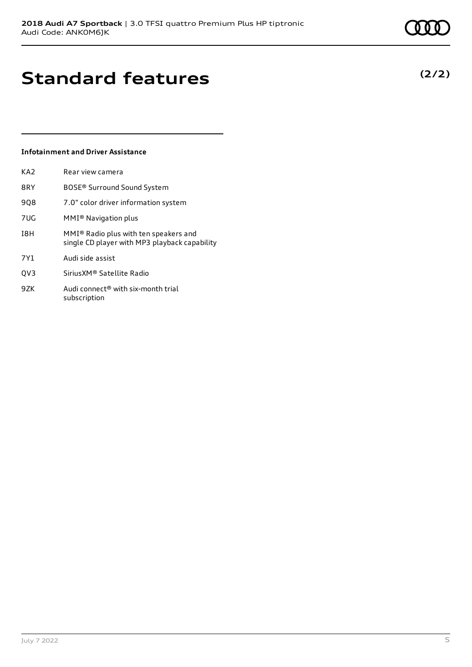**(2/2)**

# **Standard features**

#### **Infotainment and Driver Assistance**

| KA <sub>2</sub> | Rear view camera                                                                       |
|-----------------|----------------------------------------------------------------------------------------|
| 8RY             | BOSE <sup>®</sup> Surround Sound System                                                |
| 908             | 7.0" color driver information system                                                   |
| <b>7UG</b>      | MMI <sup>®</sup> Navigation plus                                                       |
| I8H             | MMI® Radio plus with ten speakers and<br>single CD player with MP3 playback capability |
| 7Y1             | Audi side assist                                                                       |
| OV <sub>3</sub> | Sirius XM <sup>®</sup> Satellite Radio                                                 |
| 9ZK             | Audi connect <sup>®</sup> with six-month trial<br>subscription                         |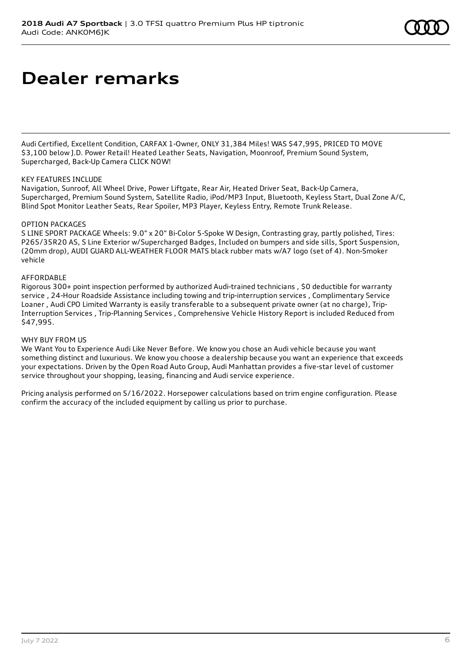### **Dealer remarks**

Audi Certified, Excellent Condition, CARFAX 1-Owner, ONLY 31,384 Miles! WAS \$47,995, PRICED TO MOVE \$3,100 below J.D. Power Retail! Heated Leather Seats, Navigation, Moonroof, Premium Sound System, Supercharged, Back-Up Camera CLICK NOW!

#### KEY FEATURES INCLUDE

Navigation, Sunroof, All Wheel Drive, Power Liftgate, Rear Air, Heated Driver Seat, Back-Up Camera, Supercharged, Premium Sound System, Satellite Radio, iPod/MP3 Input, Bluetooth, Keyless Start, Dual Zone A/C, Blind Spot Monitor Leather Seats, Rear Spoiler, MP3 Player, Keyless Entry, Remote Trunk Release.

#### OPTION PACKAGES

S LINE SPORT PACKAGE Wheels: 9.0" x 20" Bi-Color 5-Spoke W Design, Contrasting gray, partly polished, Tires: P265/35R20 AS, S Line Exterior w/Supercharged Badges, Included on bumpers and side sills, Sport Suspension, (20mm drop), AUDI GUARD ALL-WEATHER FLOOR MATS black rubber mats w/A7 logo (set of 4). Non-Smoker vehicle

#### AFFORDABLE

Rigorous 300+ point inspection performed by authorized Audi-trained technicians , \$0 deductible for warranty service , 24-Hour Roadside Assistance including towing and trip-interruption services , Complimentary Service Loaner , Audi CPO Limited Warranty is easily transferable to a subsequent private owner (at no charge), Trip-Interruption Services , Trip-Planning Services , Comprehensive Vehicle History Report is included Reduced from \$47,995.

#### WHY BUY FROM US

We Want You to Experience Audi Like Never Before. We know you chose an Audi vehicle because you want something distinct and luxurious. We know you choose a dealership because you want an experience that exceeds your expectations. Driven by the Open Road Auto Group, Audi Manhattan provides a five-star level of customer service throughout your shopping, leasing, financing and Audi service experience.

Pricing analysis performed on 5/16/2022. Horsepower calculations based on trim engine configuration. Please confirm the accuracy of the included equipment by calling us prior to purchase.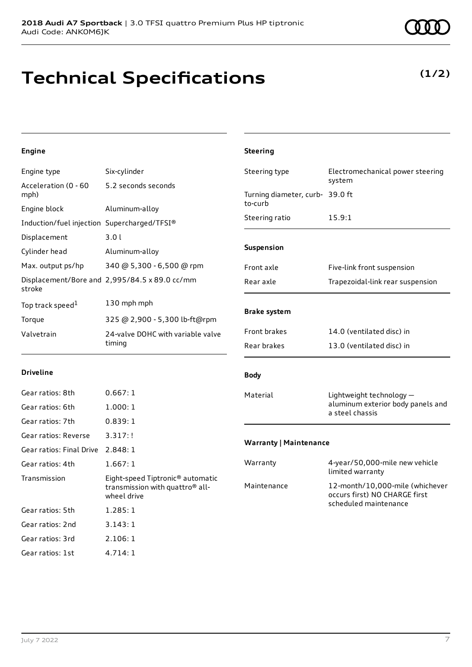### **Technical Specifications**

#### July 7 2022 7

**Engine**

| Engine type                                 | Six-cylinder                                  | Steering type                   | Electromechanical<br>system          |
|---------------------------------------------|-----------------------------------------------|---------------------------------|--------------------------------------|
| Acceleration (0 - 60<br>mph)                | 5.2 seconds seconds                           | Turning diameter, curb- 39.0 ft |                                      |
| Engine block                                | Aluminum-alloy                                | to-curb                         |                                      |
| Induction/fuel injection Supercharged/TFSI® |                                               | Steering ratio                  | 15.9:1                               |
| Displacement                                | 3.01                                          |                                 |                                      |
| Cylinder head                               | Aluminum-alloy                                | Suspension                      |                                      |
| Max. output ps/hp                           | 340 @ 5,300 - 6,500 @ rpm                     | Front axle                      | Five-link front susp                 |
| stroke                                      | Displacement/Bore and 2,995/84.5 x 89.0 cc/mm | Rear axle                       | Trapezoidal-link re                  |
| Top track speed <sup>1</sup>                | 130 mph mph                                   |                                 |                                      |
| Torque                                      | 325 @ 2,900 - 5,300 lb-ft@rpm                 | <b>Brake system</b>             |                                      |
| Valvetrain                                  | 24-valve DOHC with variable valve<br>timing   | Front brakes                    | 14.0 (ventilated d                   |
|                                             |                                               | Rear brakes                     | 13.0 (ventilated d                   |
| <b>Driveline</b>                            |                                               | <b>Body</b>                     |                                      |
| Gear ratios: 8th                            | 0.667:1                                       | Material                        | Lightweight techno                   |
| Gear ratios: 6th                            | 1.000:1                                       |                                 | aluminum exterior<br>a steel chassis |
| Gear ratios: 7th                            | 0.839:1                                       |                                 |                                      |
| Gear ratios: Reverse                        | 3.317:!                                       | <b>Warranty   Maintenance</b>   |                                      |
| Gear ratios: Final Drive 2.848: 1           |                                               |                                 |                                      |
|                                             |                                               |                                 |                                      |

**Steering**

| Gear ratios: Reverse     | 3.317:!                                                                                                    |
|--------------------------|------------------------------------------------------------------------------------------------------------|
| Gear ratios: Final Drive | 2.848:1                                                                                                    |
| Gear ratios: 4th         | 1.667:1                                                                                                    |
| Transmission             | Eight-speed Tiptronic <sup>®</sup> automatic<br>transmission with quattro <sup>®</sup> all-<br>wheel drive |
| Gear ratios: 5th         | 1.285:1                                                                                                    |
| Gear ratios: 2nd         | 3.143:1                                                                                                    |
| Gear ratios: 3rd         | 2.106:1                                                                                                    |
| Gear ratios: 1st         | 4.714:1                                                                                                    |

# pension ar suspension lisc) in lisc) in  $\log y$ body panels and Warranty 4-year/50,000-mile new vehicle limited warranty Maintenance 12-month/10,000-mile (whichever occurs first) NO CHARGE first scheduled maintenance



### **(1/2)**

power steering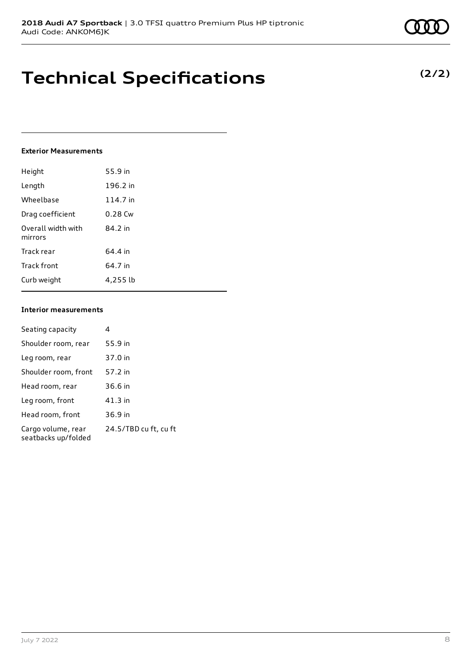### **Technical Specifications**

#### **Exterior Measurements**

| Height                        | 55.9 in   |
|-------------------------------|-----------|
| Length                        | 196.2 in  |
| Wheelbase                     | 114.7 in  |
| Drag coefficient              | $0.28$ Cw |
| Overall width with<br>mirrors | 84.2 in   |
| Track rear                    | 64.4 in   |
| Track front                   | 64.7 in   |
| Curb weight                   | 4,255 lb  |

#### **Interior measurements**

| Seating capacity                          | 4                     |
|-------------------------------------------|-----------------------|
| Shoulder room, rear                       | 55.9 in               |
| Leg room, rear                            | 37.0 in               |
| Shoulder room, front                      | 57.2 in               |
| Head room, rear                           | 36.6 in               |
| Leg room, front                           | 41.3 in               |
| Head room, front                          | 36.9 in               |
| Cargo volume, rear<br>seatbacks up/folded | 24.5/TBD cu ft, cu ft |

**(2/2)**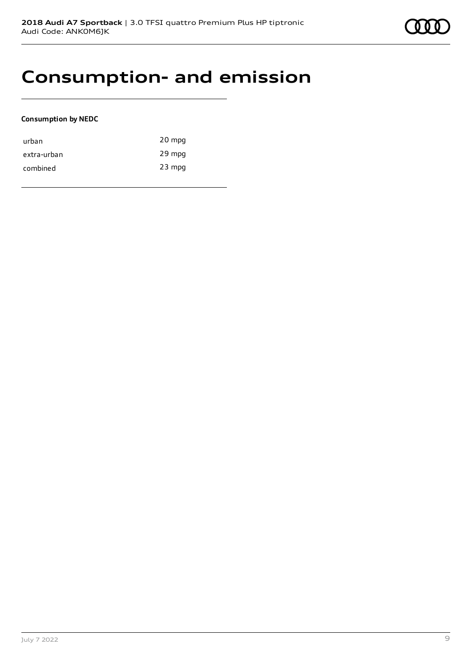### **Consumption- and emission**

#### **Consumption by NEDC**

| urban       | 20 mpg   |
|-------------|----------|
| extra-urban | 29 mpg   |
| combined    | $23$ mpg |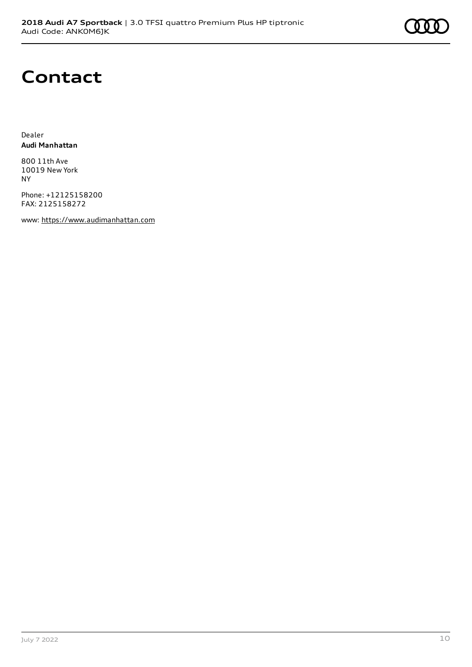### **Contact**

Dealer **Audi Manhattan**

800 11th Ave 10019 New York NY

Phone: +12125158200 FAX: 2125158272

www: [https://www.audimanhattan.com](https://www.audimanhattan.com/)